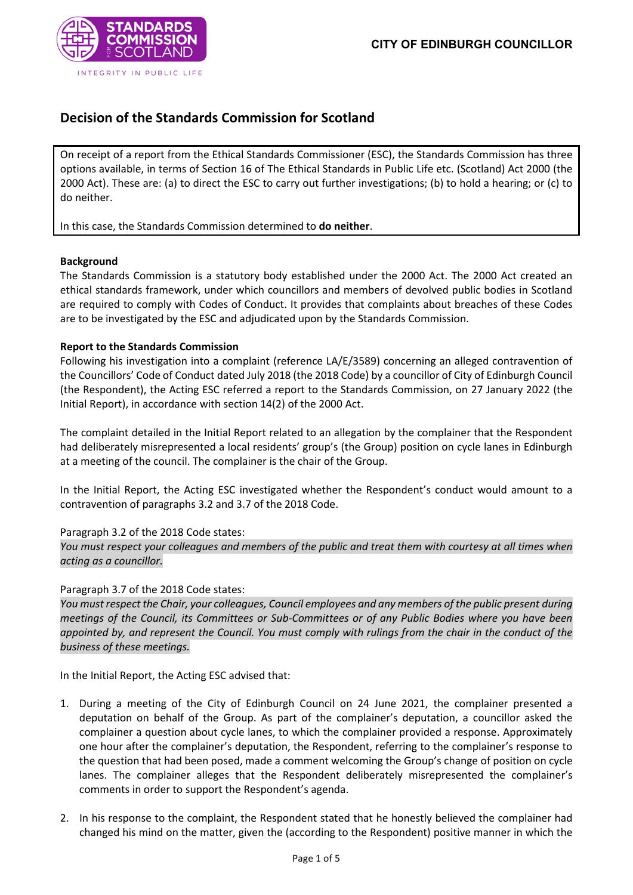

# **Decision of the Standards Commission for Scotland**

On receipt of a report from the Ethical Standards Commissioner (ESC), the Standards Commission has three options available, in terms of Section 16 of The Ethical Standards in Public Life etc. (Scotland) Act 2000 (the 2000 Act). These are: (a) to direct the ESC to carry out further investigations; (b) to hold a hearing; or (c) to do neither.

In this case, the Standards Commission determined to **do neither**.

#### **Background**

The Standards Commission is a statutory body established under the 2000 Act. The 2000 Act created an ethical standards framework, under which councillors and members of devolved public bodies in Scotland are required to comply with Codes of Conduct. It provides that complaints about breaches of these Codes are to be investigated by the ESC and adjudicated upon by the Standards Commission.

## **Report to the Standards Commission**

Following his investigation into a complaint (reference LA/E/3589) concerning an alleged contravention of the Councillors' Code of Conduct dated July 2018 (the 2018 Code) by a councillor of City of Edinburgh Council (the Respondent), the Acting ESC referred a report to the Standards Commission, on 27 January 2022 (the Initial Report), in accordance with section 14(2) of the 2000 Act.

The complaint detailed in the Initial Report related to an allegation by the complainer that the Respondent had deliberately misrepresented a local residents' group's (the Group) position on cycle lanes in Edinburgh at a meeting of the council. The complainer is the chair of the Group.

In the Initial Report, the Acting ESC investigated whether the Respondent's conduct would amount to a contravention of paragraphs 3.2 and 3.7 of the 2018 Code.

#### Paragraph 3.2 of the 2018 Code states:

*You must respect your colleagues and members of the public and treat them with courtesy at all times when acting as a councillor.*

#### Paragraph 3.7 of the 2018 Code states:

*You must respect the Chair, your colleagues, Council employees and any members of the public present during meetings of the Council, its Committees or Sub-Committees or of any Public Bodies where you have been appointed by, and represent the Council. You must comply with rulings from the chair in the conduct of the business of these meetings.*

In the Initial Report, the Acting ESC advised that:

- 1. During a meeting of the City of Edinburgh Council on 24 June 2021, the complainer presented a deputation on behalf of the Group. As part of the complainer's deputation, a councillor asked the complainer a question about cycle lanes, to which the complainer provided a response. Approximately one hour after the complainer's deputation, the Respondent, referring to the complainer's response to the question that had been posed, made a comment welcoming the Group's change of position on cycle lanes. The complainer alleges that the Respondent deliberately misrepresented the complainer's comments in order to support the Respondent's agenda.
- 2. In his response to the complaint, the Respondent stated that he honestly believed the complainer had changed his mind on the matter, given the (according to the Respondent) positive manner in which the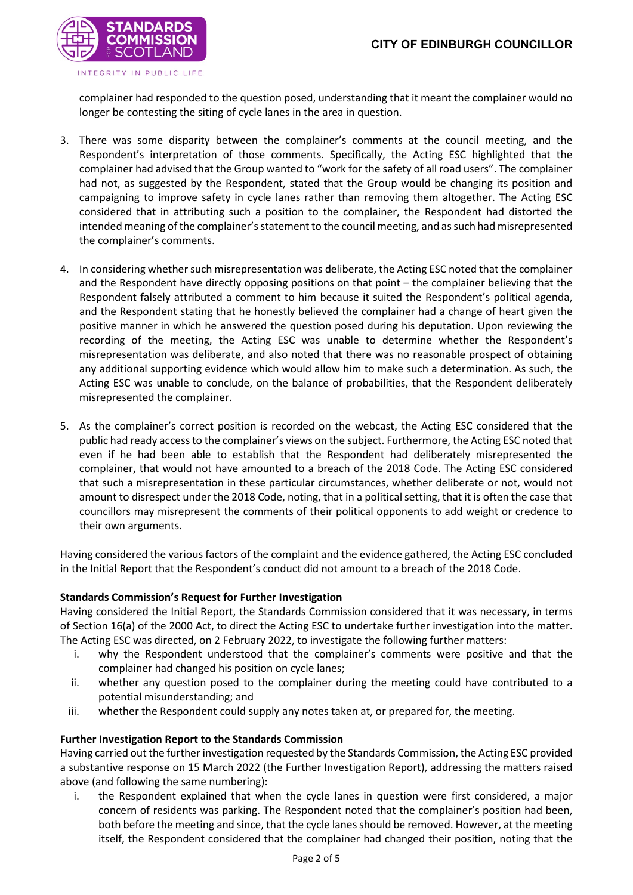

complainer had responded to the question posed, understanding that it meant the complainer would no longer be contesting the siting of cycle lanes in the area in question.

- 3. There was some disparity between the complainer's comments at the council meeting, and the Respondent's interpretation of those comments. Specifically, the Acting ESC highlighted that the complainer had advised that the Group wanted to "work for the safety of all road users". The complainer had not, as suggested by the Respondent, stated that the Group would be changing its position and campaigning to improve safety in cycle lanes rather than removing them altogether. The Acting ESC considered that in attributing such a position to the complainer, the Respondent had distorted the intended meaning of the complainer's statement to the council meeting, and as such had misrepresented the complainer's comments.
- 4. In considering whether such misrepresentation was deliberate, the Acting ESC noted that the complainer and the Respondent have directly opposing positions on that point – the complainer believing that the Respondent falsely attributed a comment to him because it suited the Respondent's political agenda, and the Respondent stating that he honestly believed the complainer had a change of heart given the positive manner in which he answered the question posed during his deputation. Upon reviewing the recording of the meeting, the Acting ESC was unable to determine whether the Respondent's misrepresentation was deliberate, and also noted that there was no reasonable prospect of obtaining any additional supporting evidence which would allow him to make such a determination. As such, the Acting ESC was unable to conclude, on the balance of probabilities, that the Respondent deliberately misrepresented the complainer.
- 5. As the complainer's correct position is recorded on the webcast, the Acting ESC considered that the public had ready access to the complainer's views on the subject. Furthermore, the Acting ESC noted that even if he had been able to establish that the Respondent had deliberately misrepresented the complainer, that would not have amounted to a breach of the 2018 Code. The Acting ESC considered that such a misrepresentation in these particular circumstances, whether deliberate or not, would not amount to disrespect under the 2018 Code, noting, that in a political setting, that it is often the case that councillors may misrepresent the comments of their political opponents to add weight or credence to their own arguments.

Having considered the various factors of the complaint and the evidence gathered, the Acting ESC concluded in the Initial Report that the Respondent's conduct did not amount to a breach of the 2018 Code.

#### **Standards Commission's Request for Further Investigation**

Having considered the Initial Report, the Standards Commission considered that it was necessary, in terms of Section 16(a) of the 2000 Act, to direct the Acting ESC to undertake further investigation into the matter. The Acting ESC was directed, on 2 February 2022, to investigate the following further matters:

- i. why the Respondent understood that the complainer's comments were positive and that the complainer had changed his position on cycle lanes;
- ii. whether any question posed to the complainer during the meeting could have contributed to a potential misunderstanding; and
- iii. whether the Respondent could supply any notes taken at, or prepared for, the meeting.

#### **Further Investigation Report to the Standards Commission**

Having carried out the further investigation requested by the Standards Commission, the Acting ESC provided a substantive response on 15 March 2022 (the Further Investigation Report), addressing the matters raised above (and following the same numbering):

i. the Respondent explained that when the cycle lanes in question were first considered, a major concern of residents was parking. The Respondent noted that the complainer's position had been, both before the meeting and since, that the cycle lanes should be removed. However, at the meeting itself, the Respondent considered that the complainer had changed their position, noting that the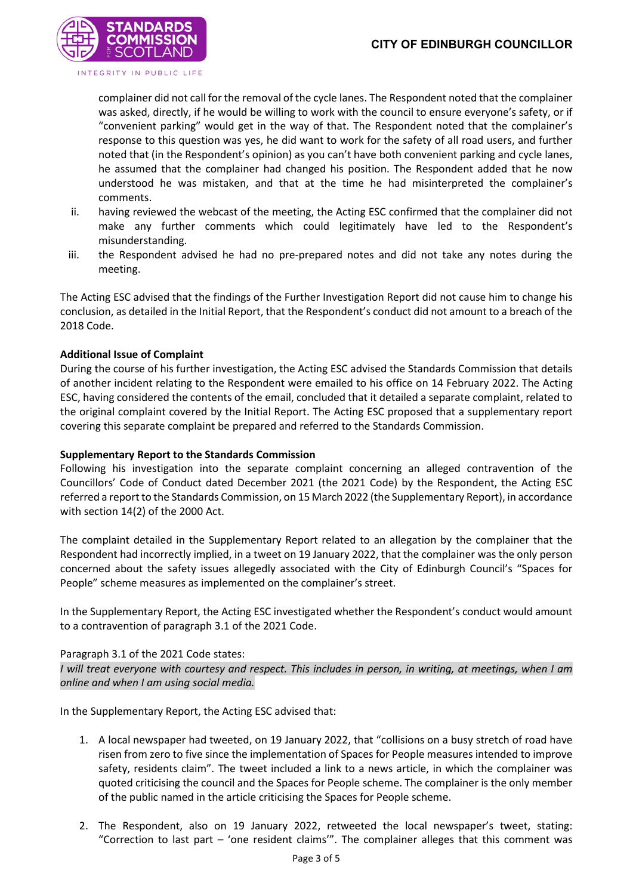

complainer did not call for the removal of the cycle lanes. The Respondent noted that the complainer was asked, directly, if he would be willing to work with the council to ensure everyone's safety, or if "convenient parking" would get in the way of that. The Respondent noted that the complainer's response to this question was yes, he did want to work for the safety of all road users, and further noted that (in the Respondent's opinion) as you can't have both convenient parking and cycle lanes, he assumed that the complainer had changed his position. The Respondent added that he now understood he was mistaken, and that at the time he had misinterpreted the complainer's comments.

- ii. having reviewed the webcast of the meeting, the Acting ESC confirmed that the complainer did not make any further comments which could legitimately have led to the Respondent's misunderstanding.
- iii. the Respondent advised he had no pre-prepared notes and did not take any notes during the meeting.

The Acting ESC advised that the findings of the Further Investigation Report did not cause him to change his conclusion, as detailed in the Initial Report, that the Respondent's conduct did not amount to a breach of the 2018 Code.

# **Additional Issue of Complaint**

During the course of his further investigation, the Acting ESC advised the Standards Commission that details of another incident relating to the Respondent were emailed to his office on 14 February 2022. The Acting ESC, having considered the contents of the email, concluded that it detailed a separate complaint, related to the original complaint covered by the Initial Report. The Acting ESC proposed that a supplementary report covering this separate complaint be prepared and referred to the Standards Commission.

#### **Supplementary Report to the Standards Commission**

Following his investigation into the separate complaint concerning an alleged contravention of the Councillors' Code of Conduct dated December 2021 (the 2021 Code) by the Respondent, the Acting ESC referred a report to the Standards Commission, on 15 March 2022 (the Supplementary Report), in accordance with section 14(2) of the 2000 Act.

The complaint detailed in the Supplementary Report related to an allegation by the complainer that the Respondent had incorrectly implied, in a tweet on 19 January 2022, that the complainer was the only person concerned about the safety issues allegedly associated with the City of Edinburgh Council's "Spaces for People" scheme measures as implemented on the complainer's street.

In the Supplementary Report, the Acting ESC investigated whether the Respondent's conduct would amount to a contravention of paragraph 3.1 of the 2021 Code.

#### Paragraph 3.1 of the 2021 Code states:

*I will treat everyone with courtesy and respect. This includes in person, in writing, at meetings, when I am online and when I am using social media.*

In the Supplementary Report, the Acting ESC advised that:

- 1. A local newspaper had tweeted, on 19 January 2022, that "collisions on a busy stretch of road have risen from zero to five since the implementation of Spaces for People measures intended to improve safety, residents claim". The tweet included a link to a news article, in which the complainer was quoted criticising the council and the Spaces for People scheme. The complainer is the only member of the public named in the article criticising the Spaces for People scheme.
- 2. The Respondent, also on 19 January 2022, retweeted the local newspaper's tweet, stating: "Correction to last part – 'one resident claims'". The complainer alleges that this comment was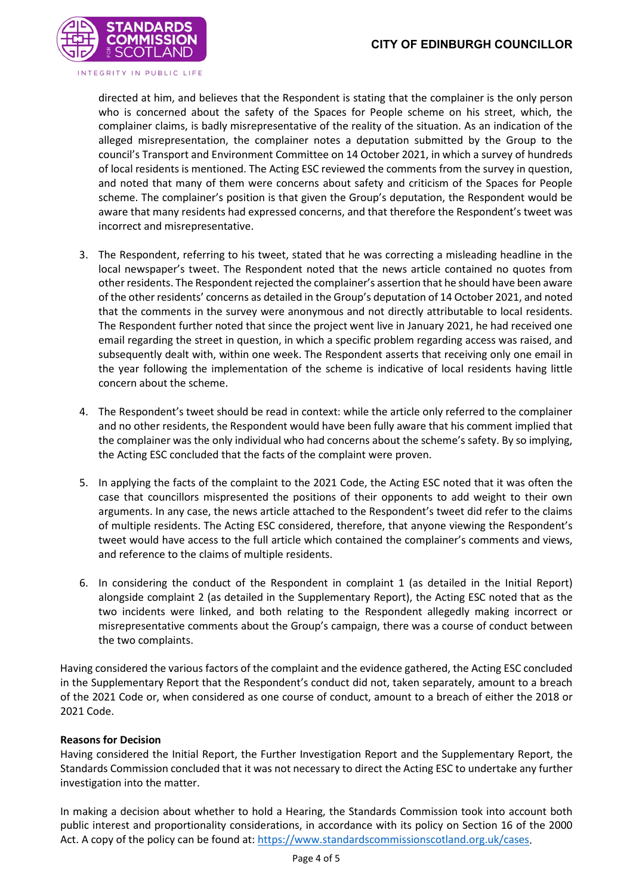

directed at him, and believes that the Respondent is stating that the complainer is the only person who is concerned about the safety of the Spaces for People scheme on his street, which, the complainer claims, is badly misrepresentative of the reality of the situation. As an indication of the alleged misrepresentation, the complainer notes a deputation submitted by the Group to the council's Transport and Environment Committee on 14 October 2021, in which a survey of hundreds of local residents is mentioned. The Acting ESC reviewed the comments from the survey in question, and noted that many of them were concerns about safety and criticism of the Spaces for People scheme. The complainer's position is that given the Group's deputation, the Respondent would be aware that many residents had expressed concerns, and that therefore the Respondent's tweet was incorrect and misrepresentative.

- 3. The Respondent, referring to his tweet, stated that he was correcting a misleading headline in the local newspaper's tweet. The Respondent noted that the news article contained no quotes from other residents. The Respondent rejected the complainer's assertion that he should have been aware of the other residents' concerns as detailed in the Group's deputation of 14 October 2021, and noted that the comments in the survey were anonymous and not directly attributable to local residents. The Respondent further noted that since the project went live in January 2021, he had received one email regarding the street in question, in which a specific problem regarding access was raised, and subsequently dealt with, within one week. The Respondent asserts that receiving only one email in the year following the implementation of the scheme is indicative of local residents having little concern about the scheme.
- 4. The Respondent's tweet should be read in context: while the article only referred to the complainer and no other residents, the Respondent would have been fully aware that his comment implied that the complainer was the only individual who had concerns about the scheme's safety. By so implying, the Acting ESC concluded that the facts of the complaint were proven.
- 5. In applying the facts of the complaint to the 2021 Code, the Acting ESC noted that it was often the case that councillors mispresented the positions of their opponents to add weight to their own arguments. In any case, the news article attached to the Respondent's tweet did refer to the claims of multiple residents. The Acting ESC considered, therefore, that anyone viewing the Respondent's tweet would have access to the full article which contained the complainer's comments and views, and reference to the claims of multiple residents.
- 6. In considering the conduct of the Respondent in complaint 1 (as detailed in the Initial Report) alongside complaint 2 (as detailed in the Supplementary Report), the Acting ESC noted that as the two incidents were linked, and both relating to the Respondent allegedly making incorrect or misrepresentative comments about the Group's campaign, there was a course of conduct between the two complaints.

Having considered the various factors of the complaint and the evidence gathered, the Acting ESC concluded in the Supplementary Report that the Respondent's conduct did not, taken separately, amount to a breach of the 2021 Code or, when considered as one course of conduct, amount to a breach of either the 2018 or 2021 Code.

# **Reasons for Decision**

Having considered the Initial Report, the Further Investigation Report and the Supplementary Report, the Standards Commission concluded that it was not necessary to direct the Acting ESC to undertake any further investigation into the matter.

In making a decision about whether to hold a Hearing, the Standards Commission took into account both public interest and proportionality considerations, in accordance with its policy on Section 16 of the 2000 Act. A copy of the policy can be found at: [https://www.standardscommissionscotland.org.uk/cases.](https://www.standardscommissionscotland.org.uk/cases)